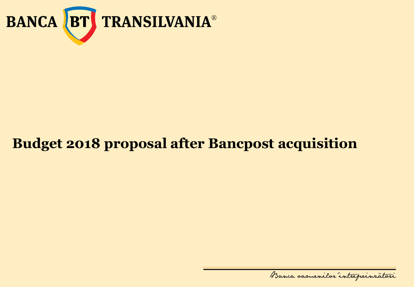

# **Budget 2018 proposal after Bancpost acquisition**

Banca samenilor intreprinratori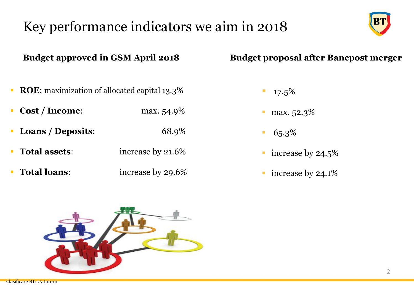# Key performance indicators we aim in 2018



2

**Budget approved in GSM April 2018 Budget proposal after Bancpost merger**

- $\blacksquare$  17.5%
- **•** max.  $52.3\%$
- $65.3\%$
- increase by 24.5<sup>%</sup>
- increase by 24.1%



**ROE:** maximization of allocated capital 13.3%

**Cost / Income:** max. 54.9%

▪ **Loans / Deposits**: 68.9%

**Total assets:** increase by 21.6%

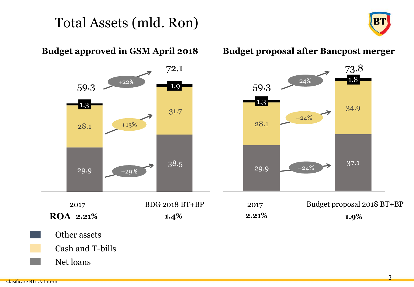## Total Assets (mld. Ron)



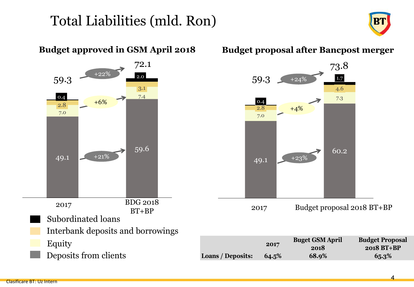### Total Liabilities (mld. Ron)





### Clasificare BT: Uz Intern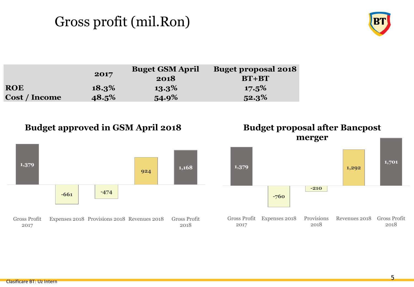# Gross profit (mil.Ron)



|                      | 2017     | <b>Buget GSM April</b><br>2018 | <b>Buget proposal 2018</b><br>$BT+BT$ |
|----------------------|----------|--------------------------------|---------------------------------------|
| <b>ROE</b>           | $18.3\%$ | $13.3\%$                       | $17.5\%$                              |
| <b>Cost / Income</b> | 48.5%    | 54.9%                          | $52.3\%$                              |







2018

Gross Profit Expenses 2018 Provisions

2017

2018

Revenues 2018 Gross Profit